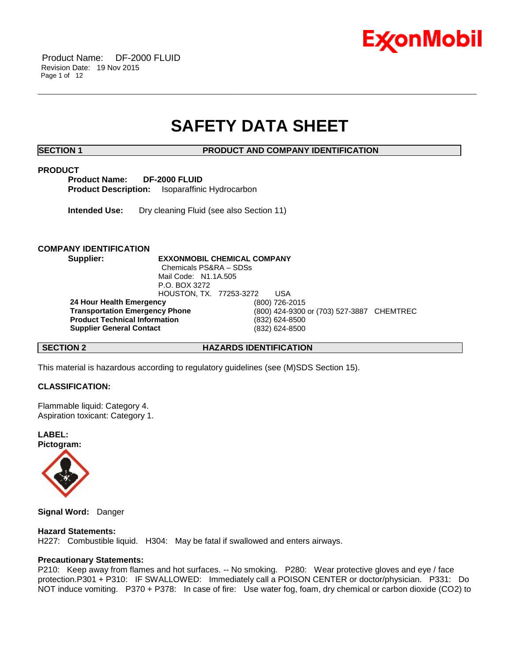

# **SAFETY DATA SHEET**

\_\_\_\_\_\_\_\_\_\_\_\_\_\_\_\_\_\_\_\_\_\_\_\_\_\_\_\_\_\_\_\_\_\_\_\_\_\_\_\_\_\_\_\_\_\_\_\_\_\_\_\_\_\_\_\_\_\_\_\_\_\_\_\_\_\_\_\_\_\_\_\_\_\_\_\_\_\_\_\_\_\_\_\_\_\_\_\_\_\_\_\_\_\_\_\_\_\_\_\_\_\_\_\_\_\_\_\_\_\_\_\_\_\_\_\_\_\_

**SECTION 1 PRODUCT AND COMPANY IDENTIFICATION**

# **PRODUCT**

**Product Name: DF-2000 FLUID Product Description:** Isoparaffinic Hydrocarbon

**Intended Use:** Dry cleaning Fluid (see also Section 11)

# **COMPANY IDENTIFICATION**

**Supplier: EXXONMOBIL CHEMICAL COMPANY** Chemicals PS&RA – SDSs Mail Code: N1.1A.505 P.O. BOX 3272 HOUSTON, TX. 77253-3272 USA **24 Hour Health Emergency** (800) 726-2015 **Transportation Emergency Phone** (800) 424-9300 or (703) 527-3887 CHEMTREC **Product Technical Information** (832) 624-8500 **Supplier General Contact** (832) 624-8500

**SECTION 2 HAZARDS IDENTIFICATION**

This material is hazardous according to regulatory guidelines (see (M)SDS Section 15).

# **CLASSIFICATION:**

Flammable liquid: Category 4. Aspiration toxicant: Category 1.

**LABEL: Pictogram:**



**Signal Word:** Danger

# **Hazard Statements:**

H227: Combustible liquid. H304: May be fatal if swallowed and enters airways.

# **Precautionary Statements:**

P210: Keep away from flames and hot surfaces. -- No smoking. P280: Wear protective gloves and eye / face protection.P301 + P310: IF SWALLOWED: Immediately call a POISON CENTER or doctor/physician. P331: Do NOT induce vomiting. P370 + P378: In case of fire: Use water fog, foam, dry chemical or carbon dioxide (CO2) to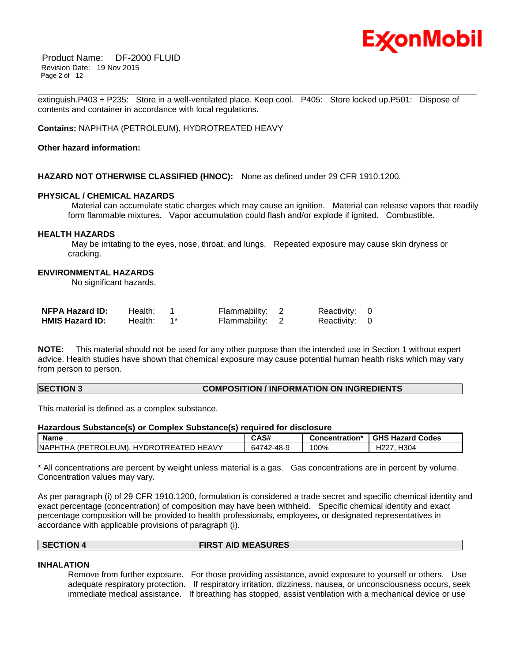

Product Name: DF-2000 FLUID Revision Date: 19 Nov 2015 Page 2 of 12

\_\_\_\_\_\_\_\_\_\_\_\_\_\_\_\_\_\_\_\_\_\_\_\_\_\_\_\_\_\_\_\_\_\_\_\_\_\_\_\_\_\_\_\_\_\_\_\_\_\_\_\_\_\_\_\_\_\_\_\_\_\_\_\_\_\_\_\_\_\_\_\_\_\_\_\_\_\_\_\_\_\_\_\_\_\_\_\_\_\_\_\_\_\_\_\_\_\_\_\_\_\_\_\_\_\_\_\_\_\_\_\_\_\_\_\_\_\_ extinguish.P403 + P235: Store in a well-ventilated place. Keep cool. P405: Store locked up.P501: Dispose of contents and container in accordance with local regulations.

**Contains:** NAPHTHA (PETROLEUM), HYDROTREATED HEAVY

### **Other hazard information:**

### **HAZARD NOT OTHERWISE CLASSIFIED (HNOC):** None as defined under 29 CFR 1910.1200.

#### **PHYSICAL / CHEMICAL HAZARDS**

Material can accumulate static charges which may cause an ignition. Material can release vapors that readily form flammable mixtures. Vapor accumulation could flash and/or explode if ignited. Combustible.

### **HEALTH HAZARDS**

May be irritating to the eyes, nose, throat, and lungs. Repeated exposure may cause skin dryness or cracking.

# **ENVIRONMENTAL HAZARDS**

No significant hazards.

| <b>NFPA Hazard ID:</b> | Health: | Flammability: 2 | Reactivity: 0 |  |
|------------------------|---------|-----------------|---------------|--|
| <b>HMIS Hazard ID:</b> | Health: | Flammability: 2 | Reactivity: 0 |  |

**NOTE:** This material should not be used for any other purpose than the intended use in Section 1 without expert advice. Health studies have shown that chemical exposure may cause potential human health risks which may vary from person to person.

#### **SECTION 3 COMPOSITION / INFORMATION ON INGREDIENTS**

This material is defined as a complex substance.

# **Hazardous Substance(s) or Complex Substance(s) required for disclosure**

| <b>Name</b>                                                 | CAS#       | Concentration* | <b>GHS Hazard Codes</b>  |
|-------------------------------------------------------------|------------|----------------|--------------------------|
| MA (PETROLEUM). HYDROTREATED HEAVY)<br><b>INAPHT</b><br>ГНА | 64742-48-9 | 100%           | H304<br>100 <sup>2</sup> |

\* All concentrations are percent by weight unless material is a gas. Gas concentrations are in percent by volume. Concentration values may vary.

As per paragraph (i) of 29 CFR 1910.1200, formulation is considered a trade secret and specific chemical identity and exact percentage (concentration) of composition may have been withheld. Specific chemical identity and exact percentage composition will be provided to health professionals, employees, or designated representatives in accordance with applicable provisions of paragraph (i).

| <b>SECTION</b> | <b>FIRST AID MEASURES</b> |
|----------------|---------------------------|
|                |                           |

#### **INHALATION**

Remove from further exposure. For those providing assistance, avoid exposure to yourself or others. Use adequate respiratory protection. If respiratory irritation, dizziness, nausea, or unconsciousness occurs, seek immediate medical assistance. If breathing has stopped, assist ventilation with a mechanical device or use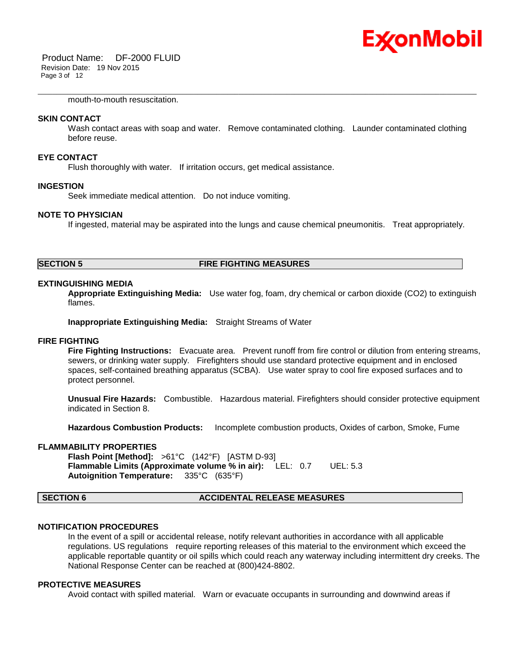

mouth-to-mouth resuscitation.

### **SKIN CONTACT**

Wash contact areas with soap and water. Remove contaminated clothing. Launder contaminated clothing before reuse.

\_\_\_\_\_\_\_\_\_\_\_\_\_\_\_\_\_\_\_\_\_\_\_\_\_\_\_\_\_\_\_\_\_\_\_\_\_\_\_\_\_\_\_\_\_\_\_\_\_\_\_\_\_\_\_\_\_\_\_\_\_\_\_\_\_\_\_\_\_\_\_\_\_\_\_\_\_\_\_\_\_\_\_\_\_\_\_\_\_\_\_\_\_\_\_\_\_\_\_\_\_\_\_\_\_\_\_\_\_\_\_\_\_\_\_\_\_\_

#### **EYE CONTACT**

Flush thoroughly with water. If irritation occurs, get medical assistance.

#### **INGESTION**

Seek immediate medical attention. Do not induce vomiting.

#### **NOTE TO PHYSICIAN**

If ingested, material may be aspirated into the lungs and cause chemical pneumonitis. Treat appropriately.

# **SECTION 5 FIRE FIGHTING MEASURES**

#### **EXTINGUISHING MEDIA**

**Appropriate Extinguishing Media:** Use water fog, foam, dry chemical or carbon dioxide (CO2) to extinguish flames.

**Inappropriate Extinguishing Media:** Straight Streams of Water

# **FIRE FIGHTING**

**Fire Fighting Instructions:** Evacuate area. Prevent runoff from fire control or dilution from entering streams, sewers, or drinking water supply. Firefighters should use standard protective equipment and in enclosed spaces, self-contained breathing apparatus (SCBA). Use water spray to cool fire exposed surfaces and to protect personnel.

**Unusual Fire Hazards:** Combustible. Hazardous material. Firefighters should consider protective equipment indicated in Section 8.

**Hazardous Combustion Products:** Incomplete combustion products, Oxides of carbon, Smoke, Fume

# **FLAMMABILITY PROPERTIES**

**Flash Point [Method]:** >61°C (142°F) [ASTM D-93] **Flammable Limits (Approximate volume % in air):** LEL: 0.7 UEL: 5.3 **Autoignition Temperature:** 335°C (635°F)

### **SECTION 6 ACCIDENTAL RELEASE MEASURES**

#### **NOTIFICATION PROCEDURES**

In the event of a spill or accidental release, notify relevant authorities in accordance with all applicable regulations. US regulations require reporting releases of this material to the environment which exceed the applicable reportable quantity or oil spills which could reach any waterway including intermittent dry creeks. The National Response Center can be reached at (800)424-8802.

# **PROTECTIVE MEASURES**

Avoid contact with spilled material. Warn or evacuate occupants in surrounding and downwind areas if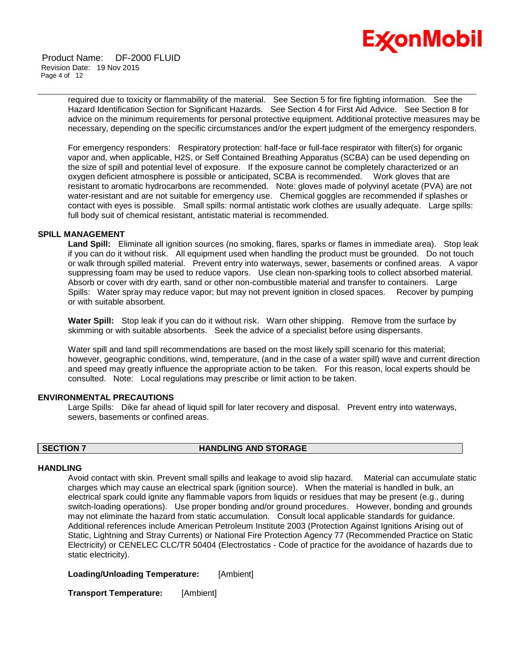

Product Name: DF-2000 FLUID Revision Date: 19 Nov 2015 Page 4 of 12

> required due to toxicity or flammability of the material. See Section 5 for fire fighting information. See the Hazard Identification Section for Significant Hazards. See Section 4 for First Aid Advice. See Section 8 for advice on the minimum requirements for personal protective equipment. Additional protective measures may be necessary, depending on the specific circumstances and/or the expert judgment of the emergency responders.

\_\_\_\_\_\_\_\_\_\_\_\_\_\_\_\_\_\_\_\_\_\_\_\_\_\_\_\_\_\_\_\_\_\_\_\_\_\_\_\_\_\_\_\_\_\_\_\_\_\_\_\_\_\_\_\_\_\_\_\_\_\_\_\_\_\_\_\_\_\_\_\_\_\_\_\_\_\_\_\_\_\_\_\_\_\_\_\_\_\_\_\_\_\_\_\_\_\_\_\_\_\_\_\_\_\_\_\_\_\_\_\_\_\_\_\_\_\_

For emergency responders: Respiratory protection: half-face or full-face respirator with filter(s) for organic vapor and, when applicable, H2S, or Self Contained Breathing Apparatus (SCBA) can be used depending on the size of spill and potential level of exposure. If the exposure cannot be completely characterized or an oxygen deficient atmosphere is possible or anticipated, SCBA is recommended. Work gloves that are resistant to aromatic hydrocarbons are recommended. Note: gloves made of polyvinyl acetate (PVA) are not water-resistant and are not suitable for emergency use. Chemical goggles are recommended if splashes or contact with eyes is possible. Small spills: normal antistatic work clothes are usually adequate. Large spills: full body suit of chemical resistant, antistatic material is recommended.

### **SPILL MANAGEMENT**

**Land Spill:** Eliminate all ignition sources (no smoking, flares, sparks or flames in immediate area). Stop leak if you can do it without risk. All equipment used when handling the product must be grounded. Do not touch or walk through spilled material. Prevent entry into waterways, sewer, basements or confined areas. A vapor suppressing foam may be used to reduce vapors. Use clean non-sparking tools to collect absorbed material. Absorb or cover with dry earth, sand or other non-combustible material and transfer to containers. Large Spills: Water spray may reduce vapor; but may not prevent ignition in closed spaces. Recover by pumping or with suitable absorbent.

**Water Spill:** Stop leak if you can do it without risk. Warn other shipping. Remove from the surface by skimming or with suitable absorbents. Seek the advice of a specialist before using dispersants.

Water spill and land spill recommendations are based on the most likely spill scenario for this material; however, geographic conditions, wind, temperature, (and in the case of a water spill) wave and current direction and speed may greatly influence the appropriate action to be taken. For this reason, local experts should be consulted. Note: Local regulations may prescribe or limit action to be taken.

#### **ENVIRONMENTAL PRECAUTIONS**

Large Spills: Dike far ahead of liquid spill for later recovery and disposal. Prevent entry into waterways, sewers, basements or confined areas.

#### **SECTION 7 HANDLING AND STORAGE**

#### **HANDLING**

Avoid contact with skin. Prevent small spills and leakage to avoid slip hazard. Material can accumulate static charges which may cause an electrical spark (ignition source). When the material is handled in bulk, an electrical spark could ignite any flammable vapors from liquids or residues that may be present (e.g., during switch-loading operations). Use proper bonding and/or ground procedures. However, bonding and grounds may not eliminate the hazard from static accumulation. Consult local applicable standards for guidance. Additional references include American Petroleum Institute 2003 (Protection Against Ignitions Arising out of Static, Lightning and Stray Currents) or National Fire Protection Agency 77 (Recommended Practice on Static Electricity) or CENELEC CLC/TR 50404 (Electrostatics - Code of practice for the avoidance of hazards due to static electricity).

#### **Loading/Unloading Temperature:** [Ambient]

**Transport Temperature:** [Ambient]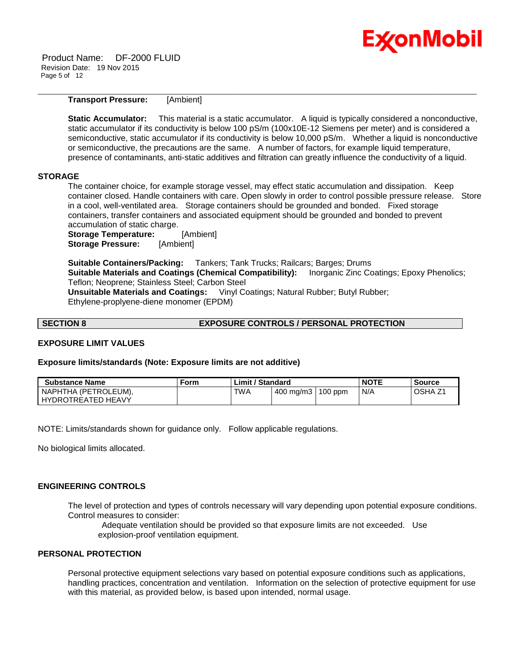Product Name: DF-2000 FLUID Revision Date: 19 Nov 2015 Page 5 of 12

# **Transport Pressure:** [Ambient]

**Static Accumulator:** This material is a static accumulator. A liquid is typically considered a nonconductive, static accumulator if its conductivity is below 100 pS/m (100x10E-12 Siemens per meter) and is considered a semiconductive, static accumulator if its conductivity is below 10,000 pS/m. Whether a liquid is nonconductive or semiconductive, the precautions are the same. A number of factors, for example liquid temperature, presence of contaminants, anti-static additives and filtration can greatly influence the conductivity of a liquid.

\_\_\_\_\_\_\_\_\_\_\_\_\_\_\_\_\_\_\_\_\_\_\_\_\_\_\_\_\_\_\_\_\_\_\_\_\_\_\_\_\_\_\_\_\_\_\_\_\_\_\_\_\_\_\_\_\_\_\_\_\_\_\_\_\_\_\_\_\_\_\_\_\_\_\_\_\_\_\_\_\_\_\_\_\_\_\_\_\_\_\_\_\_\_\_\_\_\_\_\_\_\_\_\_\_\_\_\_\_\_\_\_\_\_\_\_\_\_

# **STORAGE**

The container choice, for example storage vessel, may effect static accumulation and dissipation. Keep container closed. Handle containers with care. Open slowly in order to control possible pressure release. Store in a cool, well-ventilated area. Storage containers should be grounded and bonded. Fixed storage containers, transfer containers and associated equipment should be grounded and bonded to prevent accumulation of static charge.

**Storage Temperature:** [Ambient] **Storage Pressure:** [Ambient]

**Suitable Containers/Packing:** Tankers; Tank Trucks; Railcars; Barges; Drums **Suitable Materials and Coatings (Chemical Compatibility):** Inorganic Zinc Coatings; Epoxy Phenolics; Teflon; Neoprene; Stainless Steel; Carbon Steel **Unsuitable Materials and Coatings:** Vinyl Coatings; Natural Rubber; Butyl Rubber; Ethylene-proplyene-diene monomer (EPDM)

# **SECTION 8 EXPOSURE CONTROLS / PERSONAL PROTECTION**

# **EXPOSURE LIMIT VALUES**

### **Exposure limits/standards (Note: Exposure limits are not additive)**

| <b>Substance Name</b>                      | Form | Limit / Standard |             |           | <b>NOTE</b> | Source  |
|--------------------------------------------|------|------------------|-------------|-----------|-------------|---------|
| NAPHTHA (PETROLEUM).<br>HYDROTREATED HEAVY |      | <b>TWA</b>       | 400 mg/m3 l | $100$ ppm | N/A         | OSHA Z1 |

NOTE: Limits/standards shown for guidance only. Follow applicable regulations.

No biological limits allocated.

#### **ENGINEERING CONTROLS**

The level of protection and types of controls necessary will vary depending upon potential exposure conditions. Control measures to consider:

Adequate ventilation should be provided so that exposure limits are not exceeded. Use explosion-proof ventilation equipment.

# **PERSONAL PROTECTION**

Personal protective equipment selections vary based on potential exposure conditions such as applications, handling practices, concentration and ventilation. Information on the selection of protective equipment for use with this material, as provided below, is based upon intended, normal usage.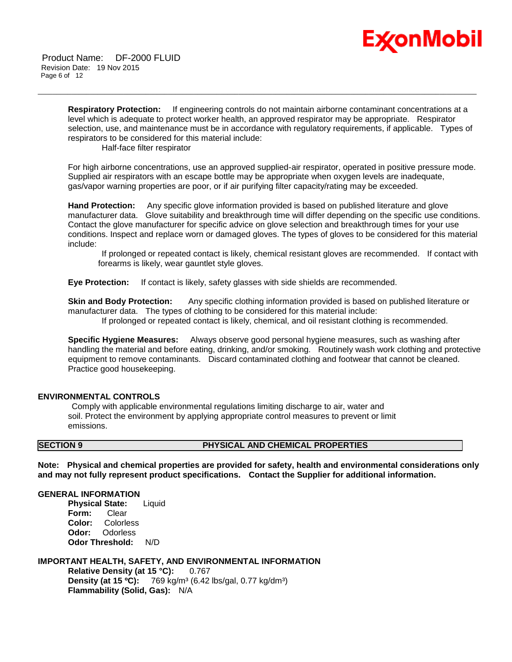

**Respiratory Protection:** If engineering controls do not maintain airborne contaminant concentrations at a level which is adequate to protect worker health, an approved respirator may be appropriate. Respirator selection, use, and maintenance must be in accordance with regulatory requirements, if applicable. Types of respirators to be considered for this material include:

\_\_\_\_\_\_\_\_\_\_\_\_\_\_\_\_\_\_\_\_\_\_\_\_\_\_\_\_\_\_\_\_\_\_\_\_\_\_\_\_\_\_\_\_\_\_\_\_\_\_\_\_\_\_\_\_\_\_\_\_\_\_\_\_\_\_\_\_\_\_\_\_\_\_\_\_\_\_\_\_\_\_\_\_\_\_\_\_\_\_\_\_\_\_\_\_\_\_\_\_\_\_\_\_\_\_\_\_\_\_\_\_\_\_\_\_\_\_

Half-face filter respirator

For high airborne concentrations, use an approved supplied-air respirator, operated in positive pressure mode. Supplied air respirators with an escape bottle may be appropriate when oxygen levels are inadequate, gas/vapor warning properties are poor, or if air purifying filter capacity/rating may be exceeded.

**Hand Protection:** Any specific glove information provided is based on published literature and glove manufacturer data. Glove suitability and breakthrough time will differ depending on the specific use conditions. Contact the glove manufacturer for specific advice on glove selection and breakthrough times for your use conditions. Inspect and replace worn or damaged gloves. The types of gloves to be considered for this material include:

If prolonged or repeated contact is likely, chemical resistant gloves are recommended. If contact with forearms is likely, wear gauntlet style gloves.

**Eye Protection:** If contact is likely, safety glasses with side shields are recommended.

**Skin and Body Protection:** Any specific clothing information provided is based on published literature or manufacturer data. The types of clothing to be considered for this material include:

If prolonged or repeated contact is likely, chemical, and oil resistant clothing is recommended.

**Specific Hygiene Measures:** Always observe good personal hygiene measures, such as washing after handling the material and before eating, drinking, and/or smoking. Routinely wash work clothing and protective equipment to remove contaminants. Discard contaminated clothing and footwear that cannot be cleaned. Practice good housekeeping.

# **ENVIRONMENTAL CONTROLS**

Comply with applicable environmental regulations limiting discharge to air, water and soil. Protect the environment by applying appropriate control measures to prevent or limit emissions.

# **SECTION 9 PHYSICAL AND CHEMICAL PROPERTIES**

**Note: Physical and chemical properties are provided for safety, health and environmental considerations only and may not fully represent product specifications. Contact the Supplier for additional information.**

# **GENERAL INFORMATION**

**Physical State:** Liquid **Form:** Clear **Color:** Colorless **Odor:** Odorless **Odor Threshold:** N/D

# **IMPORTANT HEALTH, SAFETY, AND ENVIRONMENTAL INFORMATION**

**Relative Density (at 15 °C):** 0.767 **Density (at 15 °C):** 769 kg/m<sup>3</sup> (6.42 lbs/gal, 0.77 kg/dm<sup>3</sup>) **Flammability (Solid, Gas):** N/A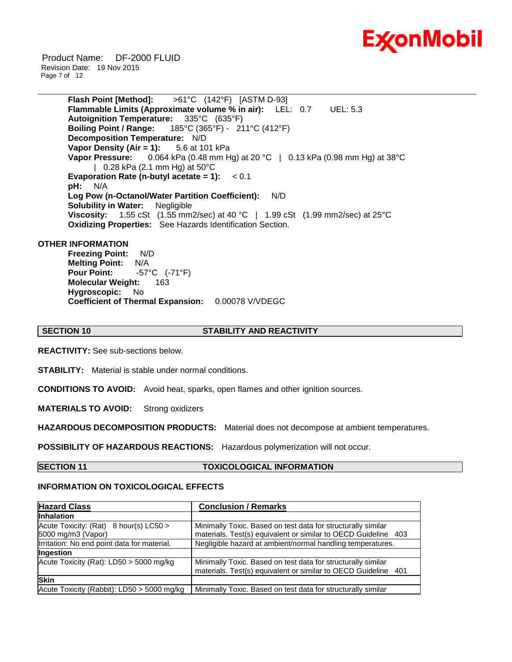

Product Name: DF-2000 FLUID Revision Date: 19 Nov 2015 Page 7 of 12

> **Flash Point [Method]:** >61°C (142°F) [ASTM D-93] **Flammable Limits (Approximate volume % in air):** LEL: 0.7 UEL: 5.3 **Autoignition Temperature:** 335°C (635°F) **Boiling Point / Range:** 185°C (365°F) - 211°C (412°F) **Decomposition Temperature:** N/D **Vapor Density (Air = 1):** 5.6 at 101 kPa **Vapor Pressure:** 0.064 kPa (0.48 mm Hg) at 20 °C | 0.13 kPa (0.98 mm Hg) at 38°C | 0.28 kPa (2.1 mm Hg) at 50°C **Evaporation Rate (n-butyl acetate = 1):** < 0.1 **pH:** N/A **Log Pow (n-Octanol/Water Partition Coefficient):** N/D **Solubility in Water:** Negligible **Viscosity:** 1.55 cSt (1.55 mm2/sec) at 40 °C | 1.99 cSt (1.99 mm2/sec) at 25°C **Oxidizing Properties:** See Hazards Identification Section.

\_\_\_\_\_\_\_\_\_\_\_\_\_\_\_\_\_\_\_\_\_\_\_\_\_\_\_\_\_\_\_\_\_\_\_\_\_\_\_\_\_\_\_\_\_\_\_\_\_\_\_\_\_\_\_\_\_\_\_\_\_\_\_\_\_\_\_\_\_\_\_\_\_\_\_\_\_\_\_\_\_\_\_\_\_\_\_\_\_\_\_\_\_\_\_\_\_\_\_\_\_\_\_\_\_\_\_\_\_\_\_\_\_\_\_\_\_\_

### **OTHER INFORMATION**

**Freezing Point:** N/D **Melting Point:** N/A **Pour Point:** -57°C (-71°F) **Molecular Weight: 163<br>Hygroscopic: No Hygroscopic: Coefficient of Thermal Expansion:** 0.00078 V/VDEGC

**SECTION 10 STABILITY AND REACTIVITY**

**REACTIVITY:** See sub-sections below.

**STABILITY:** Material is stable under normal conditions.

**CONDITIONS TO AVOID:** Avoid heat, sparks, open flames and other ignition sources.

**MATERIALS TO AVOID:** Strong oxidizers

**HAZARDOUS DECOMPOSITION PRODUCTS:** Material does not decompose at ambient temperatures.

**POSSIBILITY OF HAZARDOUS REACTIONS:** Hazardous polymerization will not occur.

### **SECTION 11 TOXICOLOGICAL INFORMATION**

### **INFORMATION ON TOXICOLOGICAL EFFECTS**

| <b>Hazard Class</b>                                          | <b>Conclusion / Remarks</b>                                                                                                    |  |  |
|--------------------------------------------------------------|--------------------------------------------------------------------------------------------------------------------------------|--|--|
| <b>Inhalation</b>                                            |                                                                                                                                |  |  |
| Acute Toxicity: (Rat) 8 hour(s) LC50 ><br>5000 mg/m3 (Vapor) | Minimally Toxic. Based on test data for structurally similar<br>materials. Test(s) equivalent or similar to OECD Guideline 403 |  |  |
| Irritation: No end point data for material.                  | Negligible hazard at ambient/normal handling temperatures.                                                                     |  |  |
| Ingestion                                                    |                                                                                                                                |  |  |
| Acute Toxicity (Rat): LD50 > 5000 mg/kg                      | Minimally Toxic. Based on test data for structurally similar<br>materials. Test(s) equivalent or similar to OECD Guideline 401 |  |  |
| <b>Skin</b>                                                  |                                                                                                                                |  |  |
| Acute Toxicity (Rabbit): LD50 > 5000 mg/kg                   | Minimally Toxic. Based on test data for structurally similar                                                                   |  |  |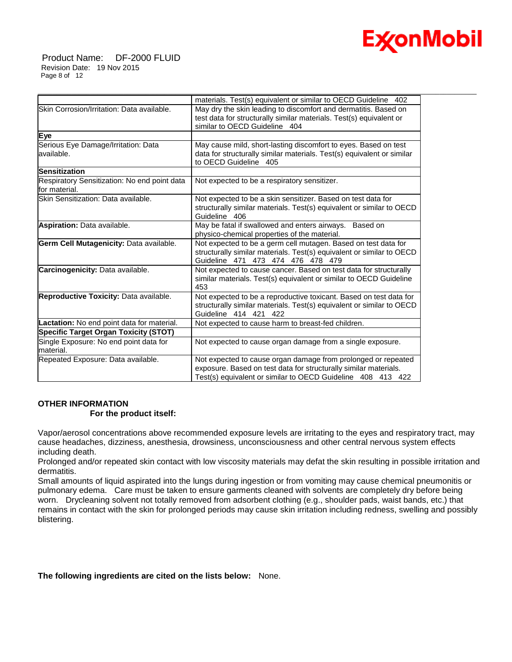

Product Name: DF-2000 FLUID Revision Date: 19 Nov 2015 Page 8 of 12

|                                                               | materials. Test(s) equivalent or similar to OECD Guideline 402                                                                                                                                   |
|---------------------------------------------------------------|--------------------------------------------------------------------------------------------------------------------------------------------------------------------------------------------------|
| Skin Corrosion/Irritation: Data available.                    | May dry the skin leading to discomfort and dermatitis. Based on<br>test data for structurally similar materials. Test(s) equivalent or<br>similar to OECD Guideline 404                          |
| Eye                                                           |                                                                                                                                                                                                  |
| Serious Eye Damage/Irritation: Data<br>available.             | May cause mild, short-lasting discomfort to eyes. Based on test<br>data for structurally similar materials. Test(s) equivalent or similar<br>to OECD Guideline 405                               |
| <b>Sensitization</b>                                          |                                                                                                                                                                                                  |
| Respiratory Sensitization: No end point data<br>for material. | Not expected to be a respiratory sensitizer.                                                                                                                                                     |
| Skin Sensitization: Data available.                           | Not expected to be a skin sensitizer. Based on test data for<br>structurally similar materials. Test(s) equivalent or similar to OECD<br>Guideline 406                                           |
| Aspiration: Data available.                                   | May be fatal if swallowed and enters airways. Based on<br>physico-chemical properties of the material.                                                                                           |
| Germ Cell Mutagenicity: Data available.                       | Not expected to be a germ cell mutagen. Based on test data for<br>structurally similar materials. Test(s) equivalent or similar to OECD<br>Guideline 471 473 474 476 478 479                     |
| Carcinogenicity: Data available.                              | Not expected to cause cancer. Based on test data for structurally<br>similar materials. Test(s) equivalent or similar to OECD Guideline<br>453                                                   |
| Reproductive Toxicity: Data available.                        | Not expected to be a reproductive toxicant. Based on test data for<br>structurally similar materials. Test(s) equivalent or similar to OECD<br>Guideline 414 421 422                             |
| <b>Lactation:</b> No end point data for material.             | Not expected to cause harm to breast-fed children.                                                                                                                                               |
| <b>Specific Target Organ Toxicity (STOT)</b>                  |                                                                                                                                                                                                  |
| Single Exposure: No end point data for<br>lmaterial.          | Not expected to cause organ damage from a single exposure.                                                                                                                                       |
| Repeated Exposure: Data available.                            | Not expected to cause organ damage from prolonged or repeated<br>exposure. Based on test data for structurally similar materials.<br>Test(s) equivalent or similar to OECD Guideline 408 413 422 |

\_\_\_\_\_\_\_\_\_\_\_\_\_\_\_\_\_\_\_\_\_\_\_\_\_\_\_\_\_\_\_\_\_\_\_\_\_\_\_\_\_\_\_\_\_\_\_\_\_\_\_\_\_\_\_\_\_\_\_\_\_\_\_\_\_\_\_\_\_\_\_\_\_\_\_\_\_\_\_\_\_\_\_\_\_\_\_\_\_\_\_\_\_\_\_\_\_\_\_\_\_\_\_\_\_\_\_\_\_\_\_\_\_\_\_\_\_\_

# **OTHER INFORMATION For the product itself:**

Vapor/aerosol concentrations above recommended exposure levels are irritating to the eyes and respiratory tract, may cause headaches, dizziness, anesthesia, drowsiness, unconsciousness and other central nervous system effects including death.

Prolonged and/or repeated skin contact with low viscosity materials may defat the skin resulting in possible irritation and dermatitis.

Small amounts of liquid aspirated into the lungs during ingestion or from vomiting may cause chemical pneumonitis or pulmonary edema. Care must be taken to ensure garments cleaned with solvents are completely dry before being worn. Drycleaning solvent not totally removed from adsorbent clothing (e.g., shoulder pads, waist bands, etc.) that remains in contact with the skin for prolonged periods may cause skin irritation including redness, swelling and possibly blistering.

# **The following ingredients are cited on the lists below:** None.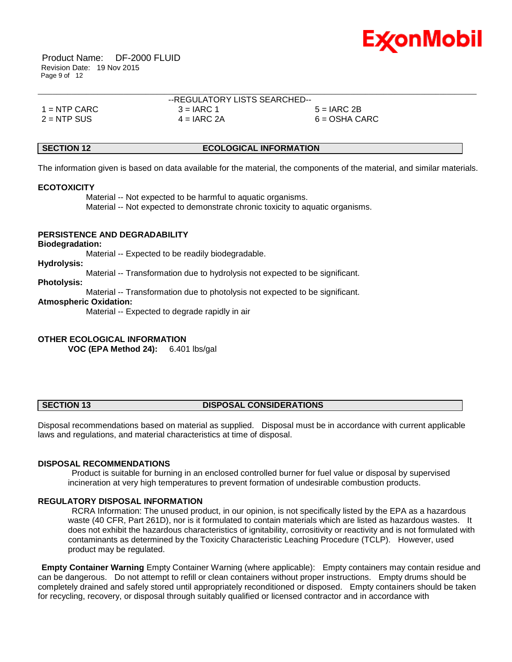

Product Name: DF-2000 FLUID Revision Date: 19 Nov 2015 Page 9 of 12

|                | --REGULATORY LISTS SEARCHED-- |                 |  |
|----------------|-------------------------------|-----------------|--|
| $1 =$ NTP CARC | $3 = IARC 1$                  | $5 = IARC 2B$   |  |
| $2 =$ NTP SUS  | $4 = IARC 2A$                 | $6 = OSHA CARC$ |  |

### **SECTION 12 ECOLOGICAL INFORMATION**

The information given is based on data available for the material, the components of the material, and similar materials.

#### **ECOTOXICITY**

 Material -- Not expected to be harmful to aquatic organisms. Material -- Not expected to demonstrate chronic toxicity to aquatic organisms.

# **PERSISTENCE AND DEGRADABILITY**

#### **Biodegradation:**

Material -- Expected to be readily biodegradable.

#### **Hydrolysis:**

Material -- Transformation due to hydrolysis not expected to be significant.

# **Photolysis:**

Material -- Transformation due to photolysis not expected to be significant.

#### **Atmospheric Oxidation:**

Material -- Expected to degrade rapidly in air

#### **OTHER ECOLOGICAL INFORMATION**

**VOC (EPA Method 24):** 6.401 lbs/gal

### **SECTION 13 DISPOSAL CONSIDERATIONS**

Disposal recommendations based on material as supplied. Disposal must be in accordance with current applicable laws and regulations, and material characteristics at time of disposal.

#### **DISPOSAL RECOMMENDATIONS**

Product is suitable for burning in an enclosed controlled burner for fuel value or disposal by supervised incineration at very high temperatures to prevent formation of undesirable combustion products.

#### **REGULATORY DISPOSAL INFORMATION**

RCRA Information: The unused product, in our opinion, is not specifically listed by the EPA as a hazardous waste (40 CFR, Part 261D), nor is it formulated to contain materials which are listed as hazardous wastes. It does not exhibit the hazardous characteristics of ignitability, corrositivity or reactivity and is not formulated with contaminants as determined by the Toxicity Characteristic Leaching Procedure (TCLP). However, used product may be regulated.

**Empty Container Warning** Empty Container Warning (where applicable): Empty containers may contain residue and can be dangerous. Do not attempt to refill or clean containers without proper instructions. Empty drums should be completely drained and safely stored until appropriately reconditioned or disposed. Empty containers should be taken for recycling, recovery, or disposal through suitably qualified or licensed contractor and in accordance with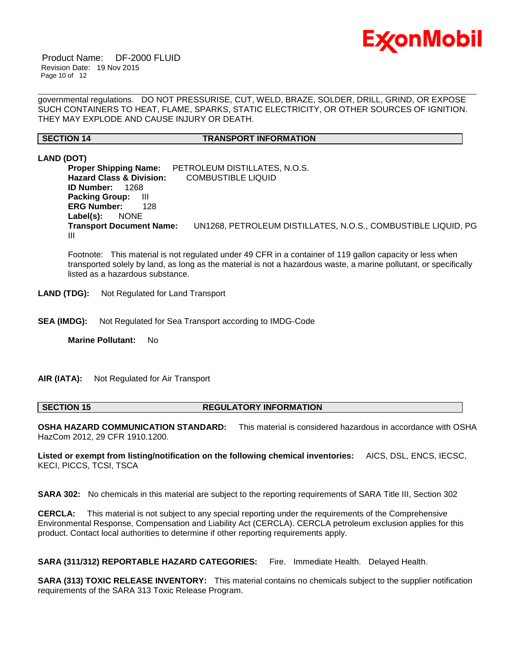

Product Name: DF-2000 FLUID Revision Date: 19 Nov 2015 Page 10 of 12

governmental regulations. DO NOT PRESSURISE, CUT, WELD, BRAZE, SOLDER, DRILL, GRIND, OR EXPOSE SUCH CONTAINERS TO HEAT, FLAME, SPARKS, STATIC ELECTRICITY, OR OTHER SOURCES OF IGNITION. THEY MAY EXPLODE AND CAUSE INJURY OR DEATH.

\_\_\_\_\_\_\_\_\_\_\_\_\_\_\_\_\_\_\_\_\_\_\_\_\_\_\_\_\_\_\_\_\_\_\_\_\_\_\_\_\_\_\_\_\_\_\_\_\_\_\_\_\_\_\_\_\_\_\_\_\_\_\_\_\_\_\_\_\_\_\_\_\_\_\_\_\_\_\_\_\_\_\_\_\_\_\_\_\_\_\_\_\_\_\_\_\_\_\_\_\_\_\_\_\_\_\_\_\_\_\_\_\_\_\_\_\_\_

### **SECTION 14 TRANSPORT INFORMATION**

**LAND (DOT)**

**Proper Shipping Name:** PETROLEUM DISTILLATES, N.O.S. **Hazard Class & Division:** COMBUSTIBLE LIQUID **ID Number:** 1268 **Packing Group:** III **ERG Number:** 128 **Label(s):** NONE **Transport Document Name:** UN1268, PETROLEUM DISTILLATES, N.O.S., COMBUSTIBLE LIQUID, PG III

Footnote: This material is not regulated under 49 CFR in a container of 119 gallon capacity or less when transported solely by land, as long as the material is not a hazardous waste, a marine pollutant, or specifically listed as a hazardous substance.

**LAND (TDG):** Not Regulated for Land Transport

**SEA (IMDG):** Not Regulated for Sea Transport according to IMDG-Code

**Marine Pollutant:** No

**AIR (IATA):** Not Regulated for Air Transport

**SECTION 15 REGULATORY INFORMATION** 

**OSHA HAZARD COMMUNICATION STANDARD:** This material is considered hazardous in accordance with OSHA HazCom 2012, 29 CFR 1910.1200.

**Listed or exempt from listing/notification on the following chemical inventories:** AICS, DSL, ENCS, IECSC, KECI, PICCS, TCSI, TSCA

**SARA 302:** No chemicals in this material are subject to the reporting requirements of SARA Title III, Section 302

**CERCLA:** This material is not subject to any special reporting under the requirements of the Comprehensive Environmental Response, Compensation and Liability Act (CERCLA). CERCLA petroleum exclusion applies for this product. Contact local authorities to determine if other reporting requirements apply.

**SARA (311/312) REPORTABLE HAZARD CATEGORIES:** Fire. Immediate Health. Delayed Health.

**SARA (313) TOXIC RELEASE INVENTORY:** This material contains no chemicals subject to the supplier notification requirements of the SARA 313 Toxic Release Program.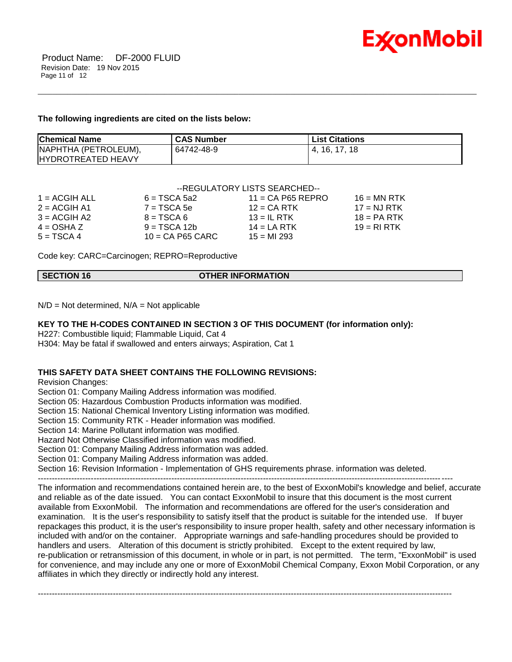

#### **The following ingredients are cited on the lists below:**

| <b>Chemical Name</b>        | <b>CAS Number</b> | <b>List Citations</b> |
|-----------------------------|-------------------|-----------------------|
| NAPHTHA (PETROLEUM),        | 64742-48-9        | 4. 16. 17. 18         |
| <b>I</b> HYDROTREATED HEAVY |                   |                       |

\_\_\_\_\_\_\_\_\_\_\_\_\_\_\_\_\_\_\_\_\_\_\_\_\_\_\_\_\_\_\_\_\_\_\_\_\_\_\_\_\_\_\_\_\_\_\_\_\_\_\_\_\_\_\_\_\_\_\_\_\_\_\_\_\_\_\_\_\_\_\_\_\_\_\_\_\_\_\_\_\_\_\_\_\_\_\_\_\_\_\_\_\_\_\_\_\_\_\_\_\_\_\_\_\_\_\_\_\_\_\_\_\_\_\_\_\_\_

# --REGULATORY LISTS SEARCHED--

| 1 = ACGIH ALL  | $6 = TSCA 5a2$     | $11 = CA$ P65 REPRO | $16 = MN$ RTK |
|----------------|--------------------|---------------------|---------------|
| $2 = ACGIH A1$ | $7 = TSCA5e$       | $12$ = CA RTK       | $17 = NJ RTK$ |
| $3 = ACGH A2$  | $B = TSCA6$        | $13 = IL$ RTK       | $18 = PA RTK$ |
| $4 = OSHA Z$   | $9 = TSCA 12b$     | $14 = LA RTK$       | $19 = R1 RTK$ |
| $5 = TSCA4$    | $10 = CA$ P65 CARC | $15 = M1293$        |               |

Code key: CARC=Carcinogen; REPRO=Reproductive

|  | <b>SECTION 16</b> | <b>OTHER INFORMATION</b> |
|--|-------------------|--------------------------|
|--|-------------------|--------------------------|

 $N/D = Not determined$ ,  $N/A = Not$  applicable

# **KEY TO THE H-CODES CONTAINED IN SECTION 3 OF THIS DOCUMENT (for information only):**

H227: Combustible liquid; Flammable Liquid, Cat 4

H304: May be fatal if swallowed and enters airways; Aspiration, Cat 1

# **THIS SAFETY DATA SHEET CONTAINS THE FOLLOWING REVISIONS:**

Revision Changes:

Section 01: Company Mailing Address information was modified.

Section 05: Hazardous Combustion Products information was modified.

Section 15: National Chemical Inventory Listing information was modified.

Section 15: Community RTK - Header information was modified.

Section 14: Marine Pollutant information was modified.

Hazard Not Otherwise Classified information was modified.

Section 01: Company Mailing Address information was added.

Section 01: Company Mailing Address information was added.

Section 16: Revision Information - Implementation of GHS requirements phrase. information was deleted.

-----------------------------------------------------------------------------------------------------------------------------------------------------

The information and recommendations contained herein are, to the best of ExxonMobil's knowledge and belief, accurate and reliable as of the date issued. You can contact ExxonMobil to insure that this document is the most current available from ExxonMobil. The information and recommendations are offered for the user's consideration and examination. It is the user's responsibility to satisfy itself that the product is suitable for the intended use. If buyer repackages this product, it is the user's responsibility to insure proper health, safety and other necessary information is included with and/or on the container. Appropriate warnings and safe-handling procedures should be provided to handlers and users. Alteration of this document is strictly prohibited. Except to the extent required by law, re-publication or retransmission of this document, in whole or in part, is not permitted. The term, "ExxonMobil" is used for convenience, and may include any one or more of ExxonMobil Chemical Company, Exxon Mobil Corporation, or any affiliates in which they directly or indirectly hold any interest.

-----------------------------------------------------------------------------------------------------------------------------------------------------